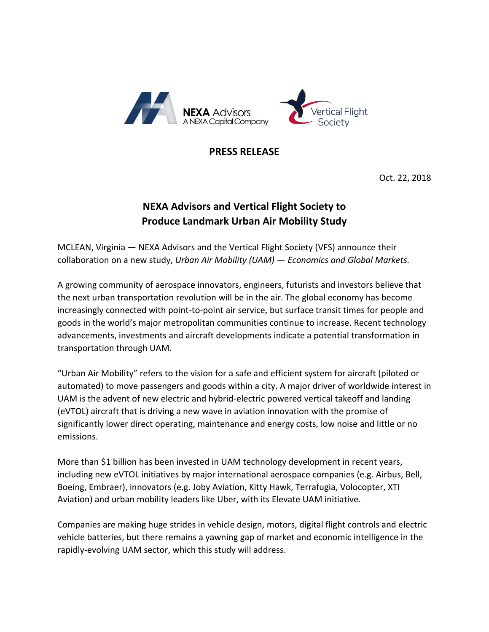

## **PRESS RELEASE**

Oct. 22, 2018

## **NEXA Advisors and Vertical Flight Society to Produce Landmark Urban Air Mobility Study**

MCLEAN, Virginia — NEXA Advisors and the Vertical Flight Society (VFS) announce their collaboration on a new study, *Urban Air Mobility (UAM) — Economics and Global Markets.*

A growing community of aerospace innovators, engineers, futurists and investors believe that the next urban transportation revolution will be in the air. The global economy has become increasingly connected with point-to-point air service, but surface transit times for people and goods in the world's major metropolitan communities continue to increase. Recent technology advancements, investments and aircraft developments indicate a potential transformation in transportation through UAM.

"Urban Air Mobility" refers to the vision for a safe and efficient system for aircraft (piloted or automated) to move passengers and goods within a city. A major driver of worldwide interest in UAM is the advent of new electric and hybrid-electric powered vertical takeoff and landing (eVTOL) aircraft that is driving a new wave in aviation innovation with the promise of significantly lower direct operating, maintenance and energy costs, low noise and little or no emissions.

More than \$1 billion has been invested in UAM technology development in recent years, including new eVTOL initiatives by major international aerospace companies (e.g. Airbus, Bell, Boeing, Embraer), innovators (e.g. Joby Aviation, Kitty Hawk, Terrafugia, Volocopter, XTI Aviation) and urban mobility leaders like Uber, with its Elevate UAM initiative.

Companies are making huge strides in vehicle design, motors, digital flight controls and electric vehicle batteries, but there remains a yawning gap of market and economic intelligence in the rapidly-evolving UAM sector, which this study will address.